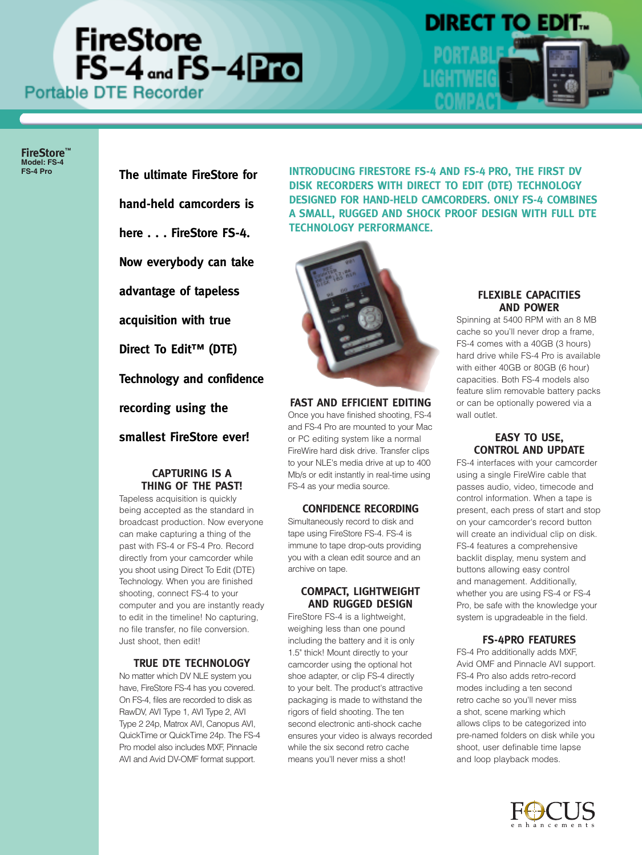# **FireStore**  $FS-4$  and  $FS-4$  Pro



# **DIRECT TO EDIT.**

**FireStore™ Model: FS-4**

**The ultimate FireStore for hand-held camcorders is here . . . FireStore FS-4. Now everybody can take advantage of tapeless acquisition with true Direct To Edit™ (DTE) Technology and confidence recording using the smallest FireStore ever!**

# **CAPTURING IS A THING OF THE PAST!**

Tapeless acquisition is quickly being accepted as the standard in broadcast production. Now everyone can make capturing a thing of the past with FS-4 or FS-4 Pro. Record directly from your camcorder while you shoot using Direct To Edit (DTE) Technology. When you are finished shooting, connect FS-4 to your computer and you are instantly ready to edit in the timeline! No capturing, no file transfer, no file conversion. Just shoot, then edit!

# **TRUE DTE TECHNOLOGY**

No matter which DV NLE system you have, FireStore FS-4 has you covered. On FS-4, files are recorded to disk as RawDV, AVI Type 1, AVI Type 2, AVI Type 2 24p, Matrox AVI, Canopus AVI, QuickTime or QuickTime 24p. The FS-4 Pro model also includes MXF, Pinnacle AVI and Avid DV-OMF format support.

**FS-4 Pro INTRODUCING FIRESTORE FS-4 AND FS-4 PRO, THE FIRST DV DISK RECORDERS WITH DIRECT TO EDIT (DTE) TECHNOLOGY DESIGNED FOR HAND-HELD CAMCORDERS. ONLY FS-4 COMBINES A SMALL, RUGGED AND SHOCK PROOF DESIGN WITH FULL DTE TECHNOLOGY PERFORMANCE.** 



# **FAST AND EFFICIENT EDITING**

Once you have finished shooting, FS-4 and FS-4 Pro are mounted to your Mac or PC editing system like a normal FireWire hard disk drive. Transfer clips to your NLE's media drive at up to 400 Mb/s or edit instantly in real-time using FS-4 as your media source.

# **CONFIDENCE RECORDING**

Simultaneously record to disk and tape using FireStore FS-4. FS-4 is immune to tape drop-outs providing you with a clean edit source and an archive on tape.

# **COMPACT, LIGHTWEIGHT AND RUGGED DESIGN**

FireStore FS-4 is a lightweight, weighing less than one pound including the battery and it is only 1.5" thick! Mount directly to your camcorder using the optional hot shoe adapter, or clip FS-4 directly to your belt. The product's attractive packaging is made to withstand the rigors of field shooting. The ten second electronic anti-shock cache ensures your video is always recorded while the six second retro cache means you'll never miss a shot!

# **FLEXIBLE CAPACITIES AND POWER**

Spinning at 5400 RPM with an 8 MB cache so you'll never drop a frame, FS-4 comes with a 40GB (3 hours) hard drive while FS-4 Pro is available with either 40GB or 80GB (6 hour) capacities. Both FS-4 models also feature slim removable battery packs or can be optionally powered via a wall outlet.

# **EASY TO USE, CONTROL AND UPDATE**

FS-4 interfaces with your camcorder using a single FireWire cable that passes audio, video, timecode and control information. When a tape is present, each press of start and stop on your camcorder's record button will create an individual clip on disk. FS-4 features a comprehensive backlit display, menu system and buttons allowing easy control and management. Additionally, whether you are using FS-4 or FS-4 Pro, be safe with the knowledge your system is upgradeable in the field.

# **FS-4PRO FEATURES**

FS-4 Pro additionally adds MXF, Avid OMF and Pinnacle AVI support. FS-4 Pro also adds retro-record modes including a ten second retro cache so you'll never miss a shot, scene marking which allows clips to be categorized into pre-named folders on disk while you shoot, user definable time lapse and loop playback modes.